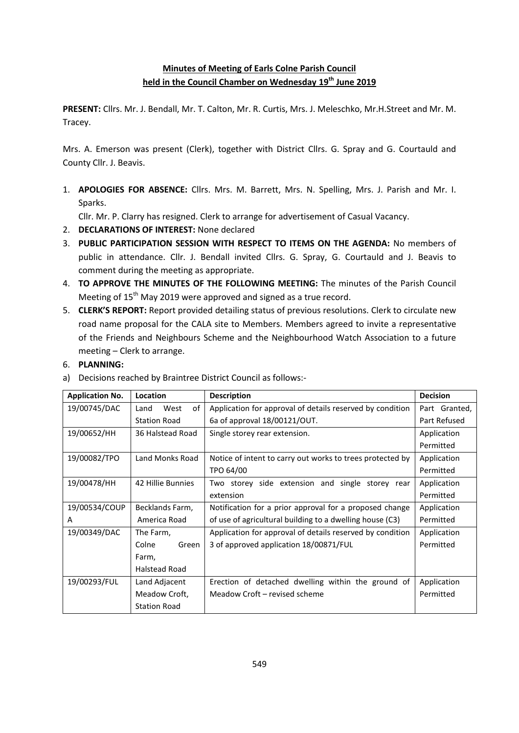### **Minutes of Meeting of Earls Colne Parish Council held in the Council Chamber on Wednesday 19th June 2019**

**PRESENT:** Cllrs. Mr. J. Bendall, Mr. T. Calton, Mr. R. Curtis, Mrs. J. Meleschko, Mr.H.Street and Mr. M. Tracey.

Mrs. A. Emerson was present (Clerk), together with District Cllrs. G. Spray and G. Courtauld and County Cllr. J. Beavis.

1. **APOLOGIES FOR ABSENCE:** Cllrs. Mrs. M. Barrett, Mrs. N. Spelling, Mrs. J. Parish and Mr. I. Sparks.

Cllr. Mr. P. Clarry has resigned. Clerk to arrange for advertisement of Casual Vacancy.

- 2. **DECLARATIONS OF INTEREST:** None declared
- 3. **PUBLIC PARTICIPATION SESSION WITH RESPECT TO ITEMS ON THE AGENDA:** No members of public in attendance. Cllr. J. Bendall invited Cllrs. G. Spray, G. Courtauld and J. Beavis to comment during the meeting as appropriate.
- 4. **TO APPROVE THE MINUTES OF THE FOLLOWING MEETING:** The minutes of the Parish Council Meeting of 15<sup>th</sup> May 2019 were approved and signed as a true record.
- 5. **CLERK'S REPORT:** Report provided detailing status of previous resolutions. Clerk to circulate new road name proposal for the CALA site to Members. Members agreed to invite a representative of the Friends and Neighbours Scheme and the Neighbourhood Watch Association to a future meeting – Clerk to arrange.
- 6. **PLANNING:**

| <b>Application No.</b> | Location             | <b>Description</b>                                        | <b>Decision</b> |  |
|------------------------|----------------------|-----------------------------------------------------------|-----------------|--|
| 19/00745/DAC           | West<br>0f<br>Land   | Application for approval of details reserved by condition | Part Granted,   |  |
|                        | <b>Station Road</b>  | 6a of approval 18/00121/OUT.                              | Part Refused    |  |
| 19/00652/HH            | 36 Halstead Road     | Single storey rear extension.                             | Application     |  |
|                        |                      |                                                           | Permitted       |  |
| 19/00082/TPO           | Land Monks Road      | Notice of intent to carry out works to trees protected by | Application     |  |
|                        |                      | TPO 64/00                                                 | Permitted       |  |
| 19/00478/HH            | 42 Hillie Bunnies    | Two storey side extension and single storey rear          | Application     |  |
|                        |                      | extension                                                 | Permitted       |  |
| 19/00534/COUP          | Becklands Farm,      | Notification for a prior approval for a proposed change   | Application     |  |
| A                      | America Road         | of use of agricultural building to a dwelling house (C3)  | Permitted       |  |
| 19/00349/DAC           | The Farm,            | Application for approval of details reserved by condition | Application     |  |
|                        | Colne<br>Green       | 3 of approved application 18/00871/FUL                    | Permitted       |  |
|                        | Farm,                |                                                           |                 |  |
|                        | <b>Halstead Road</b> |                                                           |                 |  |
| 19/00293/FUL           | Land Adjacent        | Erection of detached dwelling within the ground of        | Application     |  |
|                        | Meadow Croft,        | Meadow Croft – revised scheme                             | Permitted       |  |
|                        | <b>Station Road</b>  |                                                           |                 |  |

a) Decisions reached by Braintree District Council as follows:-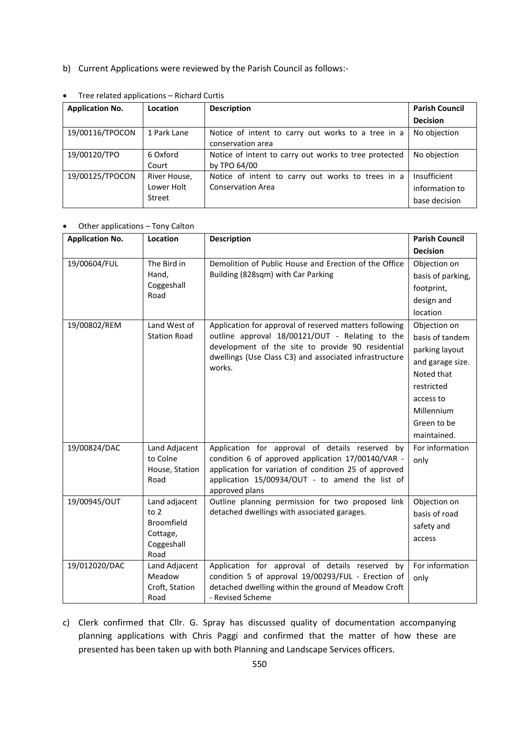b) Current Applications were reviewed by the Parish Council as follows:-

| <b>Application No.</b> | Location                             | <b>Description</b>                                                            | <b>Parish Council</b>                           |  |  |
|------------------------|--------------------------------------|-------------------------------------------------------------------------------|-------------------------------------------------|--|--|
|                        |                                      |                                                                               | <b>Decision</b>                                 |  |  |
| 19/00116/TPOCON        | 1 Park Lane                          | Notice of intent to carry out works to a tree in a<br>conservation area       | No objection                                    |  |  |
| 19/00120/TPO           | 6 Oxford<br>Court                    | Notice of intent to carry out works to tree protected<br>by TPO 64/00         | No objection                                    |  |  |
| 19/00125/TPOCON        | River House,<br>Lower Holt<br>Street | Notice of intent to carry out works to trees in a<br><b>Conservation Area</b> | Insufficient<br>information to<br>base decision |  |  |

Tree related applications – Richard Curtis

#### Other applications – Tony Calton

| <b>Application No.</b> | <b>Description</b><br>Location      |                                                                                                       |                   |  |  |
|------------------------|-------------------------------------|-------------------------------------------------------------------------------------------------------|-------------------|--|--|
|                        |                                     |                                                                                                       | <b>Decision</b>   |  |  |
| 19/00604/FUL           | The Bird in                         | Demolition of Public House and Erection of the Office                                                 | Objection on      |  |  |
|                        | Hand,                               | Building (828sqm) with Car Parking                                                                    | basis of parking, |  |  |
|                        | Coggeshall<br>Road                  |                                                                                                       | footprint,        |  |  |
|                        |                                     |                                                                                                       | design and        |  |  |
|                        |                                     |                                                                                                       | location          |  |  |
| 19/00802/REM           | Land West of<br><b>Station Road</b> | Application for approval of reserved matters following                                                | Objection on      |  |  |
|                        |                                     | outline approval 18/00121/OUT - Relating to the                                                       | basis of tandem   |  |  |
|                        |                                     | development of the site to provide 90 residential                                                     | parking layout    |  |  |
|                        |                                     | dwellings (Use Class C3) and associated infrastructure<br>works.                                      | and garage size.  |  |  |
|                        |                                     |                                                                                                       | Noted that        |  |  |
|                        |                                     |                                                                                                       | restricted        |  |  |
|                        |                                     |                                                                                                       | access to         |  |  |
|                        |                                     |                                                                                                       | Millennium        |  |  |
|                        |                                     |                                                                                                       | Green to be       |  |  |
|                        |                                     |                                                                                                       | maintained.       |  |  |
| 19/00824/DAC           | Land Adjacent                       | Application for approval of details reserved by                                                       | For information   |  |  |
|                        | to Colne                            | condition 6 of approved application 17/00140/VAR -                                                    | only              |  |  |
|                        | House, Station                      | application for variation of condition 25 of approved                                                 |                   |  |  |
|                        | Road                                | application 15/00934/OUT - to amend the list of<br>approved plans                                     |                   |  |  |
| 19/00945/OUT           | Land adjacent                       | Outline planning permission for two proposed link                                                     | Objection on      |  |  |
|                        | to 2                                | detached dwellings with associated garages.                                                           | basis of road     |  |  |
|                        | Broomfield                          |                                                                                                       | safety and        |  |  |
|                        | Cottage,                            |                                                                                                       | access            |  |  |
|                        | Coggeshall                          |                                                                                                       |                   |  |  |
| 19/012020/DAC          | Road                                |                                                                                                       | For information   |  |  |
|                        | Land Adjacent<br>Meadow             | Application for approval of details reserved by<br>condition 5 of approval 19/00293/FUL - Erection of |                   |  |  |
|                        | Croft, Station                      | detached dwelling within the ground of Meadow Croft                                                   | only              |  |  |
|                        | Road                                | - Revised Scheme                                                                                      |                   |  |  |

c) Clerk confirmed that Cllr. G. Spray has discussed quality of documentation accompanying planning applications with Chris Paggi and confirmed that the matter of how these are presented has been taken up with both Planning and Landscape Services officers.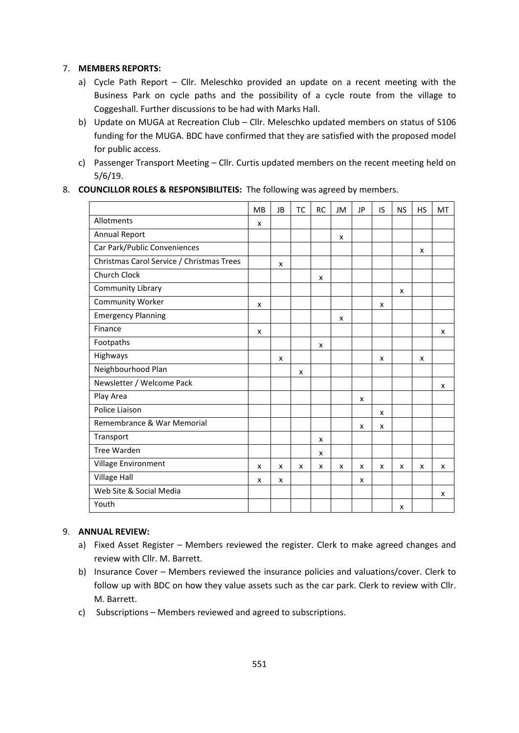#### 7. **MEMBERS REPORTS:**

- a) Cycle Path Report Cllr. Meleschko provided an update on a recent meeting with the Business Park on cycle paths and the possibility of a cycle route from the village to Coggeshall. Further discussions to be had with Marks Hall.
- b) Update on MUGA at Recreation Club Cllr. Meleschko updated members on status of S106 funding for the MUGA. BDC have confirmed that they are satisfied with the proposed model for public access.
- c) Passenger Transport Meeting Cllr. Curtis updated members on the recent meeting held on 5/6/19.

#### 8. **COUNCILLOR ROLES & RESPONSIBILITEIS:** The following was agreed by members.

|                                           | <b>MB</b> | JB                        | <b>TC</b> | <b>RC</b> | JM | JP                        | IS | <b>NS</b> | <b>HS</b> | MT |
|-------------------------------------------|-----------|---------------------------|-----------|-----------|----|---------------------------|----|-----------|-----------|----|
| Allotments                                | x         |                           |           |           |    |                           |    |           |           |    |
| Annual Report                             |           |                           |           |           | X  |                           |    |           |           |    |
| Car Park/Public Conveniences              |           |                           |           |           |    |                           |    |           | x         |    |
| Christmas Carol Service / Christmas Trees |           | x                         |           |           |    |                           |    |           |           |    |
| <b>Church Clock</b>                       |           |                           |           | x         |    |                           |    |           |           |    |
| <b>Community Library</b>                  |           |                           |           |           |    |                           |    | x         |           |    |
| <b>Community Worker</b>                   | x         |                           |           |           |    |                           | x  |           |           |    |
| <b>Emergency Planning</b>                 |           |                           |           |           | X  |                           |    |           |           |    |
| Finance                                   | x         |                           |           |           |    |                           |    |           |           | x  |
| Footpaths                                 |           |                           |           | x         |    |                           |    |           |           |    |
| Highways                                  |           | x                         |           |           |    |                           | X  |           | x         |    |
| Neighbourhood Plan                        |           |                           | x         |           |    |                           |    |           |           |    |
| Newsletter / Welcome Pack                 |           |                           |           |           |    |                           |    |           |           | x  |
| Play Area                                 |           |                           |           |           |    | $\boldsymbol{\mathsf{x}}$ |    |           |           |    |
| Police Liaison                            |           |                           |           |           |    |                           | X  |           |           |    |
| Remembrance & War Memorial                |           |                           |           |           |    | x                         | x  |           |           |    |
| Transport                                 |           |                           |           | x         |    |                           |    |           |           |    |
| <b>Tree Warden</b>                        |           |                           |           | x         |    |                           |    |           |           |    |
| Village Environment                       | X         | $\boldsymbol{\mathsf{x}}$ | x         | x         | X  | X                         | X  | X         | X         | X  |
| <b>Village Hall</b>                       | x         | x                         |           |           |    | x                         |    |           |           |    |
| Web Site & Social Media                   |           |                           |           |           |    |                           |    |           |           | x  |
| Youth                                     |           |                           |           |           |    |                           |    | x         |           |    |

#### 9. **ANNUAL REVIEW:**

- a) Fixed Asset Register Members reviewed the register. Clerk to make agreed changes and review with Cllr. M. Barrett.
- b) Insurance Cover Members reviewed the insurance policies and valuations/cover. Clerk to follow up with BDC on how they value assets such as the car park. Clerk to review with Cllr. M. Barrett.
- c) Subscriptions Members reviewed and agreed to subscriptions.